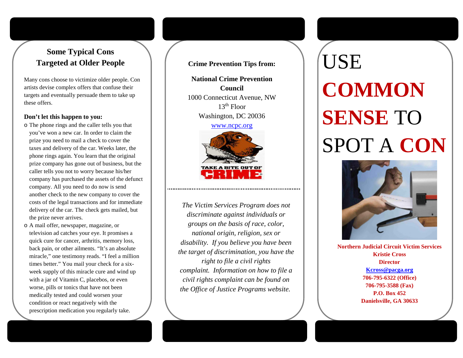## **Some Typical Cons Targeted at Older People**

Many cons choose to victimize older people. Con artists devise complex offers that confuse their targets and eventually persuade them to take up these offers.

#### **Don't let this happen to you:**

- o The phone rings and the caller tells you that you've won a new car. In order to claim the prize you need to mail a check to cover the taxes and delivery of the car. Weeks later, the phone rings again. You learn that the original prize company has gone out of business, but the caller tells you not to worry because his/her company has purchased the assets of the defunct company. All you need to do now is send another check to the new company to cover the costs of the legal transactions and for immediate delivery of the car. The check gets mailed, but the prize never arrives.
- o A mail offer, newspaper, magazine, or television ad catches your eye. It promises a quick cure for cancer, arthritis, memory loss, back pain, or other ailments. "It's an absolute miracle," one testimony reads. "I feel a million times better." You mail your check for a sixweek supply of this miracle cure and wind up with a jar of Vitamin C, placebos, or even worse, pills or tonics that have not been medically tested and could worsen your condition or react negatively with the prescription medication you regularly take.

**Crime Prevention Tips from:**

**National Crime Prevention Council** 1000 Connecticut Avenue, NW  $13<sup>th</sup>$  Floor Washington, DC 20036

[www.ncpc.org](http://www.ncpc.org/)



*The Victim Services Program does not discriminate against individuals or groups on the basis of race, color, national origin, religion, sex or disability. If you believe you have been the target of discrimination, you have the right to file a civil rights complaint. Information on how to file a civil rights complaint can be found on the Office of Justice Programs website.*

# **USE COMMON SENSE** TO SPOT A **CON**



**Northern Judicial Circuit Victim Services Kristie Cross Director [Kcross@pacga.org](mailto:Kcross@pacga.org) 706-795-6322 (Office) 706-795-3588 (Fax) P.O. Box 452 Danielsville, GA 30633**